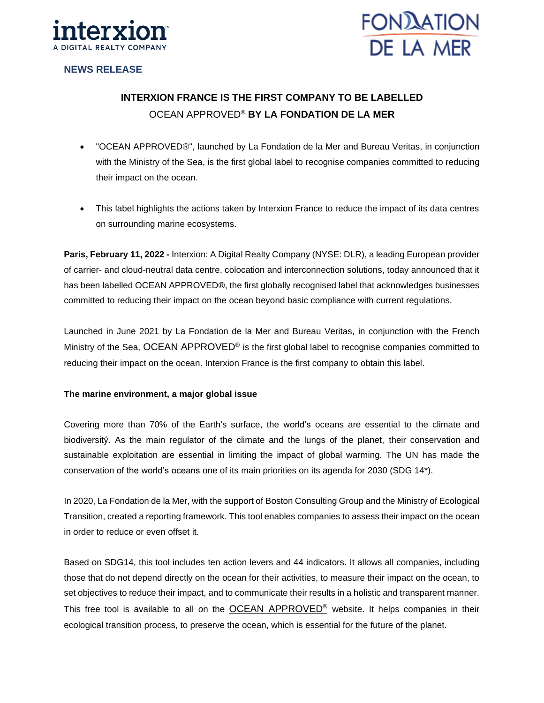



# **NEWS RELEASE**

# **INTERXION FRANCE IS THE FIRST COMPANY TO BE LABELLED** OCEAN APPROVED® **BY LA FONDATION DE LA MER**

- "OCEAN APPROVED®", launched by La Fondation de la Mer and Bureau Veritas, in conjunction with the Ministry of the Sea, is the first global label to recognise companies committed to reducing their impact on the ocean.
- This label highlights the actions taken by Interxion France to reduce the impact of its data centres on surrounding marine ecosystems.

**Paris, February 11, 2022 -** Interxion: A Digital Realty Company (NYSE: DLR), a leading European provider of carrier- and cloud-neutral data centre, colocation and interconnection solutions, today announced that it has been labelled OCEAN APPROVED®, the first globally recognised label that acknowledges businesses committed to reducing their impact on the ocean beyond basic compliance with current regulations.

Launched in June 2021 by La Fondation de la Mer and Bureau Veritas, in conjunction with the French Ministry of the Sea, OCEAN APPROVED® is the first global label to recognise companies committed to reducing their impact on the ocean. Interxion France is the first company to obtain this label.

# **The marine environment, a major global issue**

Covering more than 70% of the Earth's surface, the world's oceans are essential to the climate and biodiversitý. As the main regulator of the climate and the lungs of the planet, their conservation and sustainable exploitation are essential in limiting the impact of global warming. The UN has made the conservation of the world's oceans one of its main priorities on its agenda for 2030 (SDG 14\*).

In 2020, La Fondation de la Mer, with the support of Boston Consulting Group and the Ministry of Ecological Transition, created a reporting framework. This tool enables companies to assess their impact on the ocean in order to reduce or even offset it.

Based on SDG14, this tool includes ten action levers and 44 indicators. It allows all companies, including those that do not depend directly on the ocean for their activities, to measure their impact on the ocean, to set objectives to reduce their impact, and to communicate their results in a holistic and transparent manner. This free tool is available to all on the **[OCEAN APPROVED](http://www.oceanapproved.org/)®** website. It helps companies in their ecological transition process, to preserve the ocean, which is essential for the future of the planet.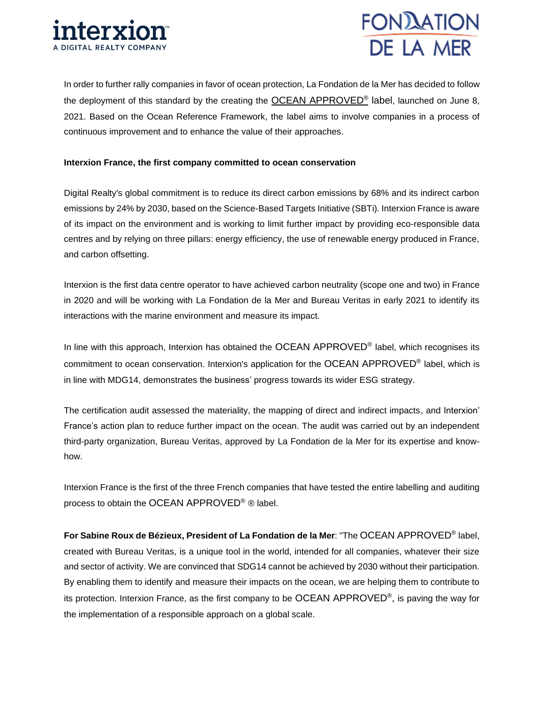



In order to further rally companies in favor of ocean protection, La Fondation de la Mer has decided to follow the deployment of this standard by the creating the **[OCEAN APPROVED](http://www.oceanapproved.org/)<sup>®</sup> label**, launched on June 8, 2021. Based on the Ocean Reference Framework, the label aims to involve companies in a process of continuous improvement and to enhance the value of their approaches.

## **Interxion France, the first company committed to ocean conservation**

Digital Realty's global commitment is to reduce its direct carbon emissions by 68% and its indirect carbon emissions by 24% by 2030, based on the Science-Based Targets Initiative (SBTi). Interxion France is aware of its impact on the environment and is working to limit further impact by providing eco-responsible data centres and by relying on three pillars: energy efficiency, the use of renewable energy produced in France, and carbon offsetting.

Interxion is the first data centre operator to have achieved carbon neutrality (scope one and two) in France in 2020 and will be working with La Fondation de la Mer and Bureau Veritas in early 2021 to identify its interactions with the marine environment and measure its impact.

In line with this approach, Interxion has obtained the OCEAN APPROVED<sup>®</sup> label, which recognises its commitment to ocean conservation. Interxion's application for the OCEAN APPROVED<sup>®</sup> label, which is in line with MDG14, demonstrates the business' progress towards its wider ESG strategy.

The certification audit assessed the materiality, the mapping of direct and indirect impacts, and Interxion' France's action plan to reduce further impact on the ocean. The audit was carried out by an independent third-party organization, Bureau Veritas, approved by La Fondation de la Mer for its expertise and knowhow.

Interxion France is the first of the three French companies that have tested the entire labelling and auditing process to obtain the OCEAN APPROVED® ® label.

**For Sabine Roux de Bézieux, President of La Fondation de la Mer**: "The OCEAN APPROVED® label, created with Bureau Veritas, is a unique tool in the world, intended for all companies, whatever their size and sector of activity. We are convinced that SDG14 cannot be achieved by 2030 without their participation. By enabling them to identify and measure their impacts on the ocean, we are helping them to contribute to its protection. Interxion France, as the first company to be OCEAN APPROVED®, is paving the way for the implementation of a responsible approach on a global scale.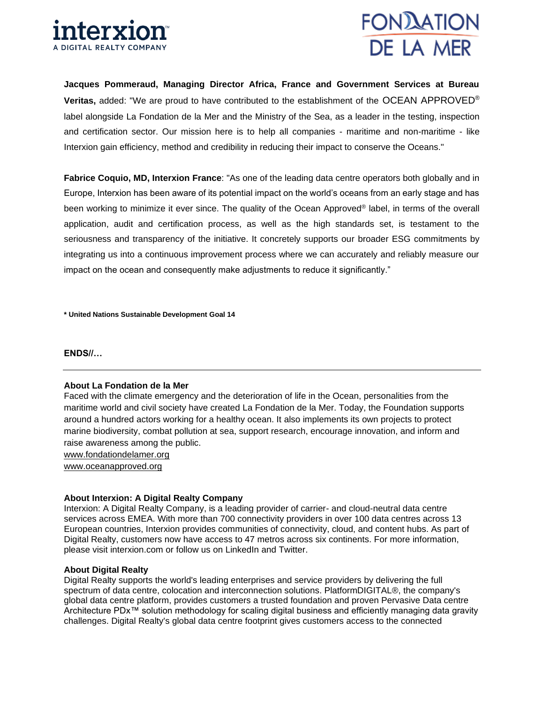



**Jacques Pommeraud, Managing Director Africa, France and Government Services at Bureau Veritas,** added: "We are proud to have contributed to the establishment of the OCEAN APPROVED® label alongside La Fondation de la Mer and the Ministry of the Sea, as a leader in the testing, inspection and certification sector. Our mission here is to help all companies - maritime and non-maritime - like Interxion gain efficiency, method and credibility in reducing their impact to conserve the Oceans."

**Fabrice Coquio, MD, Interxion France**: "As one of the leading data centre operators both globally and in Europe, Interxion has been aware of its potential impact on the world's oceans from an early stage and has been working to minimize it ever since. The quality of the Ocean Approved® label, in terms of the overall application, audit and certification process, as well as the high standards set, is testament to the seriousness and transparency of the initiative. It concretely supports our broader ESG commitments by integrating us into a continuous improvement process where we can accurately and reliably measure our impact on the ocean and consequently make adjustments to reduce it significantly."

**\* United Nations Sustainable Development Goal 14**

**ENDS//…** 

#### **About La Fondation de la Mer**

Faced with the climate emergency and the deterioration of life in the Ocean, personalities from the maritime world and civil society have created La Fondation de la Mer. Today, the Foundation supports around a hundred actors working for a healthy ocean. It also implements its own projects to protect marine biodiversity, combat pollution at sea, support research, encourage innovation, and inform and raise awareness among the public.

[www.fondationdelamer.org](http://www.fondationdelamer.org/)

www.oceanapproved.org

## **About Interxion: A Digital Realty Company**

Interxion: A Digital Realty Company, is a leading provider of carrier- and cloud-neutral data centre services across EMEA. With more than 700 connectivity providers in over 100 data centres across 13 European countries, Interxion provides communities of connectivity, cloud, and content hubs. As part of Digital Realty, customers now have access to 47 metros across six continents. For more information, please visit [interxion.com](https://www.interxion.com/) or follow us on [LinkedIn](https://www.linkedin.com/company/interxion/) and [Twitter.](https://twitter.com/interxion)

## **About Digital Realty**

Digital Realty supports the world's leading enterprises and service providers by delivering the full spectrum of data centre, colocation and interconnection solutions. PlatformDIGITAL®, the company's global data centre platform, provides customers a trusted foundation and proven Pervasive Data centre Architecture PDx™ solution methodology for scaling digital business and efficiently managing data gravity challenges. Digital Realty's global data centre footprint gives customers access to the connected